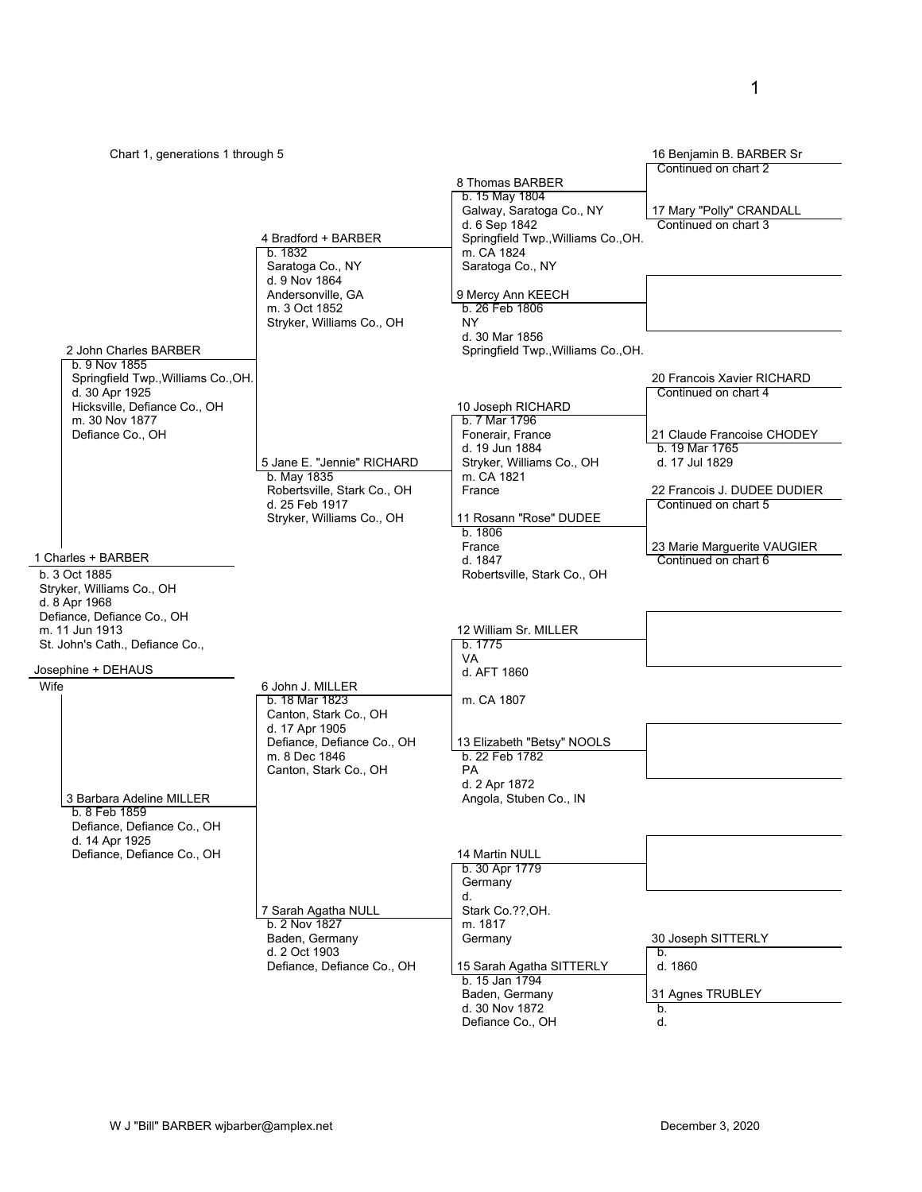| Chart 1, generations 1 through 5                                                                                                                                                                                                                                                  |                                                                                                                                                       |                                                                                                                                                                                                                                                           | 16 Benjamin B. BARBER Sr                                                                                                                                                                                                           |
|-----------------------------------------------------------------------------------------------------------------------------------------------------------------------------------------------------------------------------------------------------------------------------------|-------------------------------------------------------------------------------------------------------------------------------------------------------|-----------------------------------------------------------------------------------------------------------------------------------------------------------------------------------------------------------------------------------------------------------|------------------------------------------------------------------------------------------------------------------------------------------------------------------------------------------------------------------------------------|
|                                                                                                                                                                                                                                                                                   | 4 Bradford + BARBER<br>b. 1832<br>Saratoga Co., NY<br>d. 9 Nov 1864<br>Andersonville, GA<br>m. 3 Oct 1852<br>Stryker, Williams Co., OH                | 8 Thomas BARBER<br>b. 15 May 1804<br>Galway, Saratoga Co., NY<br>d. 6 Sep 1842<br>Springfield Twp., Williams Co., OH.<br>m. CA 1824<br>Saratoga Co., NY<br>9 Mercy Ann KEECH<br>b. 26 Feb 1806<br>NY.                                                     | Continued on chart 2<br>17 Mary "Polly" CRANDALL<br>Continued on chart 3                                                                                                                                                           |
| 2 John Charles BARBER                                                                                                                                                                                                                                                             |                                                                                                                                                       | d. 30 Mar 1856<br>Springfield Twp., Williams Co., OH.                                                                                                                                                                                                     |                                                                                                                                                                                                                                    |
| b. 9 Nov 1855<br>Springfield Twp., Williams Co., OH.<br>d. 30 Apr 1925<br>Hicksville, Defiance Co., OH<br>m. 30 Nov 1877<br>Defiance Co., OH<br>1 Charles + BARBER<br>b. 3 Oct 1885<br>Stryker, Williams Co., OH<br>d. 8 Apr 1968<br>Defiance, Defiance Co., OH<br>m. 11 Jun 1913 | 5 Jane E. "Jennie" RICHARD<br>b. May 1835<br>Robertsville, Stark Co., OH<br>d. 25 Feb 1917<br>Stryker, Williams Co., OH                               | 10 Joseph RICHARD<br>b. 7 Mar 1796<br>Fonerair, France<br>d. 19 Jun 1884<br>Stryker, Williams Co., OH<br>m. CA 1821<br>France<br>11 Rosann "Rose" DUDEE<br>b.1806<br>France<br>d. 1847<br>Robertsville, Stark Co., OH<br>12 William Sr. MILLER<br>b. 1775 | 20 Francois Xavier RICHARD<br>Continued on chart 4<br>21 Claude Francoise CHODEY<br>b. 19 Mar 1765<br>d. 17 Jul 1829<br>22 Francois J. DUDEE DUDIER<br>Continued on chart 5<br>23 Marie Marguerite VAUGIER<br>Continued on chart 6 |
| St. John's Cath., Defiance Co.,<br>Josephine + DEHAUS                                                                                                                                                                                                                             |                                                                                                                                                       | VA<br>d. AFT 1860                                                                                                                                                                                                                                         |                                                                                                                                                                                                                                    |
| Wife                                                                                                                                                                                                                                                                              | 6 John J. MILLER<br>b. 18 Mar 1823<br>Canton, Stark Co., OH<br>d. 17 Apr 1905<br>Defiance, Defiance Co., OH<br>m. 8 Dec 1846<br>Canton, Stark Co., OH | m. CA 1807<br>13 Elizabeth "Betsy" NOOLS<br>b. 22 Feb 1782<br><b>PA</b><br>d. 2 Apr 1872                                                                                                                                                                  |                                                                                                                                                                                                                                    |
| 3 Barbara Adeline MILLER<br>b. 8 Feb 1859<br>Defiance, Defiance Co., OH<br>d. 14 Apr 1925<br>Defiance, Defiance Co., OH                                                                                                                                                           |                                                                                                                                                       | Angola, Stuben Co., IN<br>14 Martin NULL<br>b. 30 Apr 1779<br>Germany<br>d.                                                                                                                                                                               |                                                                                                                                                                                                                                    |
|                                                                                                                                                                                                                                                                                   | 7 Sarah Agatha NULL<br>b. 2 Nov 1827<br>Baden, Germany<br>d. 2 Oct 1903<br>Defiance, Defiance Co., OH                                                 | Stark Co. ??, OH.<br>m. 1817<br>Germany<br>15 Sarah Agatha SITTERLY<br>b. 15 Jan 1794<br>Baden, Germany<br>d. 30 Nov 1872<br>Defiance Co., OH                                                                                                             | 30 Joseph SITTERLY<br>b.<br>d. 1860<br>31 Agnes TRUBLEY<br>b.<br>d.                                                                                                                                                                |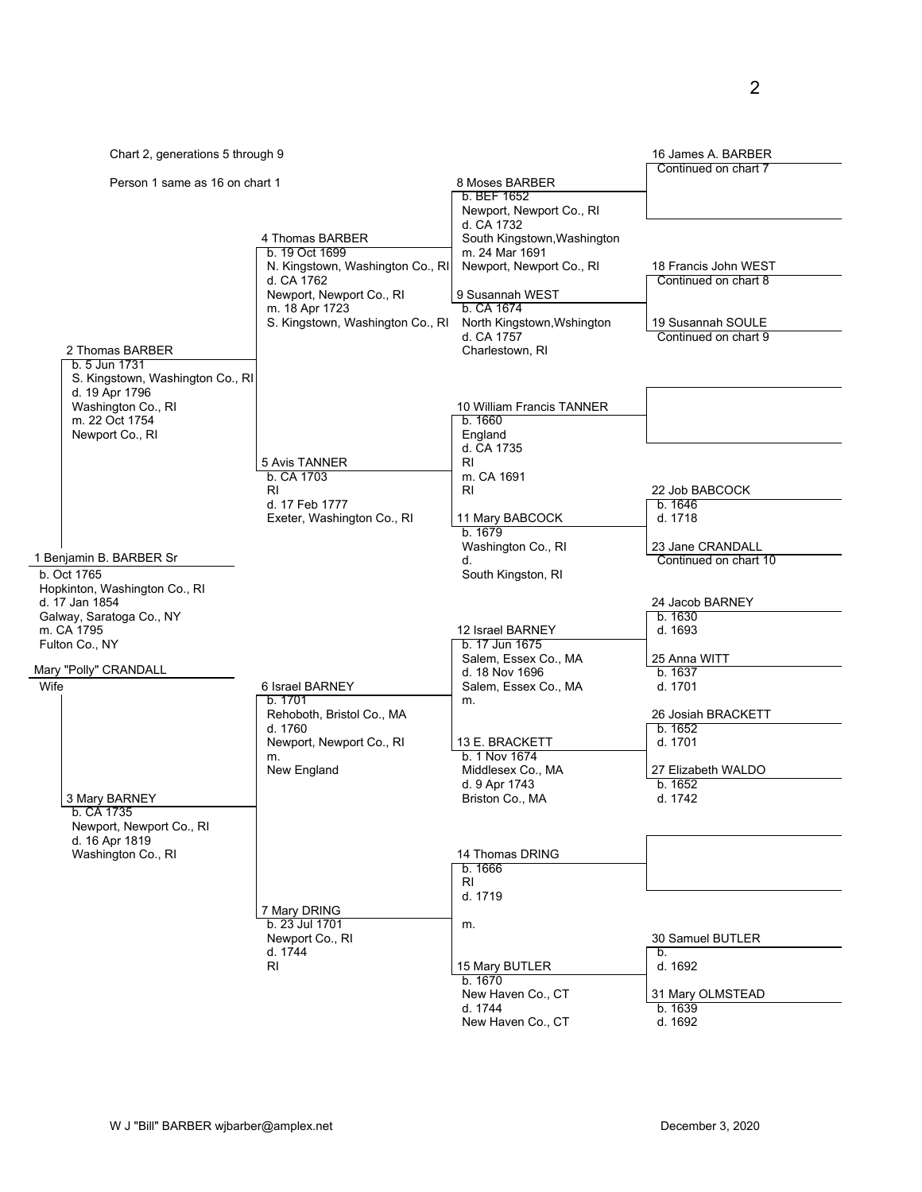|                                                                                |                                                                                              |                                                                                              | 16 James A. BARBER                                                |
|--------------------------------------------------------------------------------|----------------------------------------------------------------------------------------------|----------------------------------------------------------------------------------------------|-------------------------------------------------------------------|
| Chart 2, generations 5 through 9                                               |                                                                                              |                                                                                              | Continued on chart 7                                              |
| Person 1 same as 16 on chart 1                                                 |                                                                                              | 8 Moses BARBER<br>b. BEF 1652<br>Newport, Newport Co., RI                                    |                                                                   |
|                                                                                | 4 Thomas BARBER<br>b. 19 Oct 1699<br>N. Kingstown, Washington Co., RI                        | d. CA 1732<br>South Kingstown, Washington<br>m. 24 Mar 1691<br>Newport, Newport Co., RI      | 18 Francis John WEST                                              |
| 2 Thomas BARBER                                                                | d. CA 1762<br>Newport, Newport Co., RI<br>m. 18 Apr 1723<br>S. Kingstown, Washington Co., RI | 9 Susannah WEST<br>b. CA 1674<br>North Kingstown, Wshington<br>d. CA 1757<br>Charlestown, RI | Continued on chart 8<br>19 Susannah SOULE<br>Continued on chart 9 |
| b. 5 Jun 1731<br>S. Kingstown, Washington Co., RI<br>d. 19 Apr 1796            |                                                                                              |                                                                                              |                                                                   |
| Washington Co., RI<br>m. 22 Oct 1754<br>Newport Co., RI                        |                                                                                              | 10 William Francis TANNER<br>b. 1660<br>England<br>d. CA 1735                                |                                                                   |
|                                                                                | 5 Avis TANNER<br>b. CA 1703<br>RI.<br>d. 17 Feb 1777                                         | RI<br>m. CA 1691<br>RI                                                                       | 22 Job BABCOCK<br>b.1646                                          |
| 1 Benjamin B. BARBER Sr                                                        | Exeter, Washington Co., RI                                                                   | 11 Mary BABCOCK<br>b. 1679<br>Washington Co., RI<br>d.                                       | d. 1718<br>23 Jane CRANDALL<br>Continued on chart 10              |
| b. Oct 1765<br>Hopkinton, Washington Co., RI<br>d. 17 Jan 1854                 |                                                                                              | South Kingston, RI                                                                           | 24 Jacob BARNEY                                                   |
| Galway, Saratoga Co., NY<br>m. CA 1795<br>Fulton Co., NY                       |                                                                                              | 12 Israel BARNEY<br>b. 17 Jun 1675<br>Salem, Essex Co., MA                                   | b. 1630<br>d. 1693<br>25 Anna WITT                                |
| Mary "Polly" CRANDALL                                                          |                                                                                              | d. 18 Nov 1696                                                                               | b. 1637                                                           |
| Wife                                                                           | 6 Israel BARNEY<br>b. 1701<br>Rehoboth, Bristol Co., MA                                      | Salem, Essex Co., MA<br>m.                                                                   | d. 1701<br>26 Josiah BRACKETT                                     |
|                                                                                | d. 1760<br>Newport, Newport Co., RI                                                          | 13 E. BRACKETT<br>b. 1 Nov 1674                                                              | b. 1652<br>d. 1701                                                |
| 3 Mary BARNEY                                                                  | m.<br>New England                                                                            | Middlesex Co., MA<br>d. 9 Apr 1743<br>Briston Co., MA                                        | 27 Elizabeth WALDO<br>b. 1652<br>d. 1742                          |
| D. UA 1735<br>Newport, Newport Co., RI<br>d. 16 Apr 1819<br>Washington Co., RI |                                                                                              | 14 Thomas DRING                                                                              |                                                                   |
|                                                                                |                                                                                              | b.1666<br>RI<br>d. 1719                                                                      |                                                                   |
|                                                                                | 7 Mary DRING<br>b. 23 Jul 1701<br>Newport Co., RI<br>d. 1744                                 | m.                                                                                           | 30 Samuel BUTLER<br>b.                                            |
|                                                                                | RI                                                                                           | 15 Mary BUTLER<br>b. 1670<br>New Haven Co., CT                                               | d. 1692<br>31 Mary OLMSTEAD                                       |
|                                                                                |                                                                                              | d. 1744<br>New Haven Co., CT                                                                 | b. 1639<br>d. 1692                                                |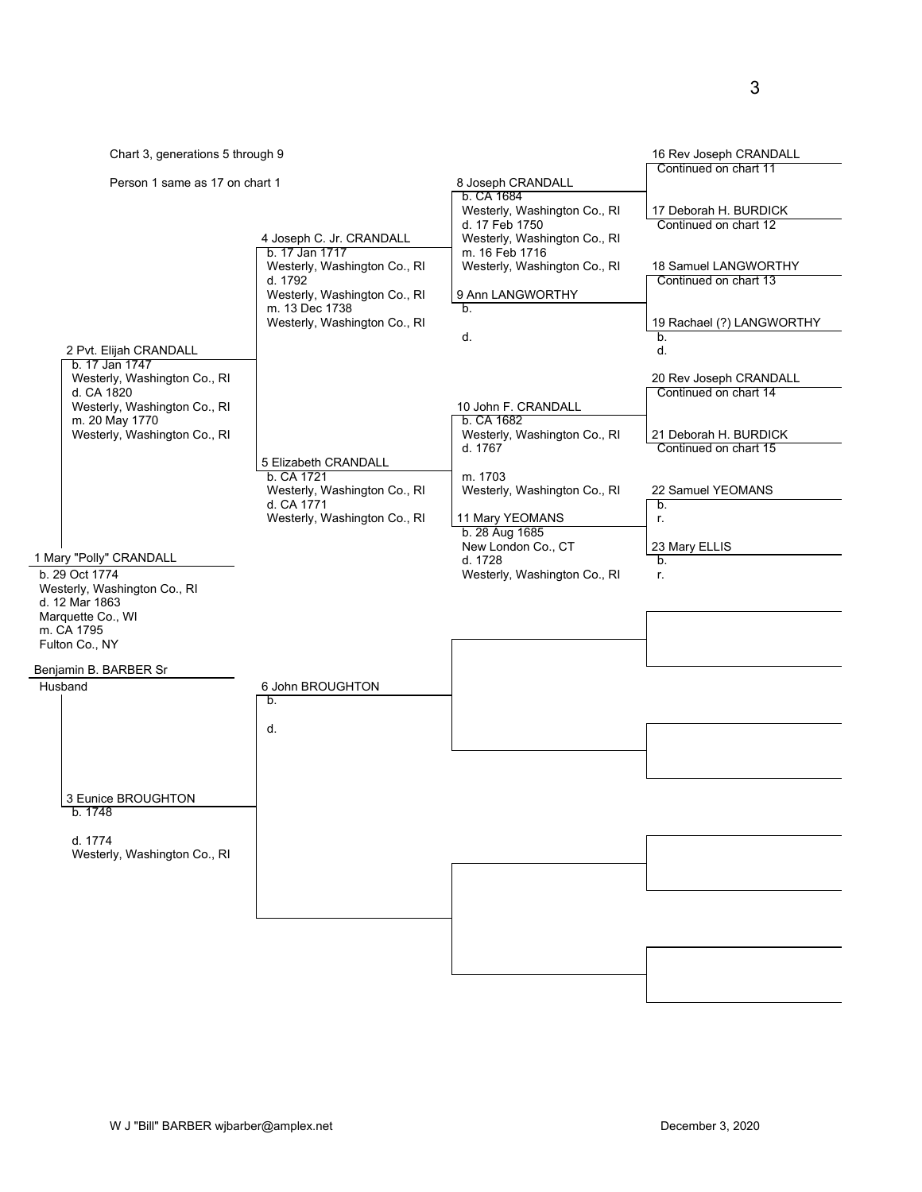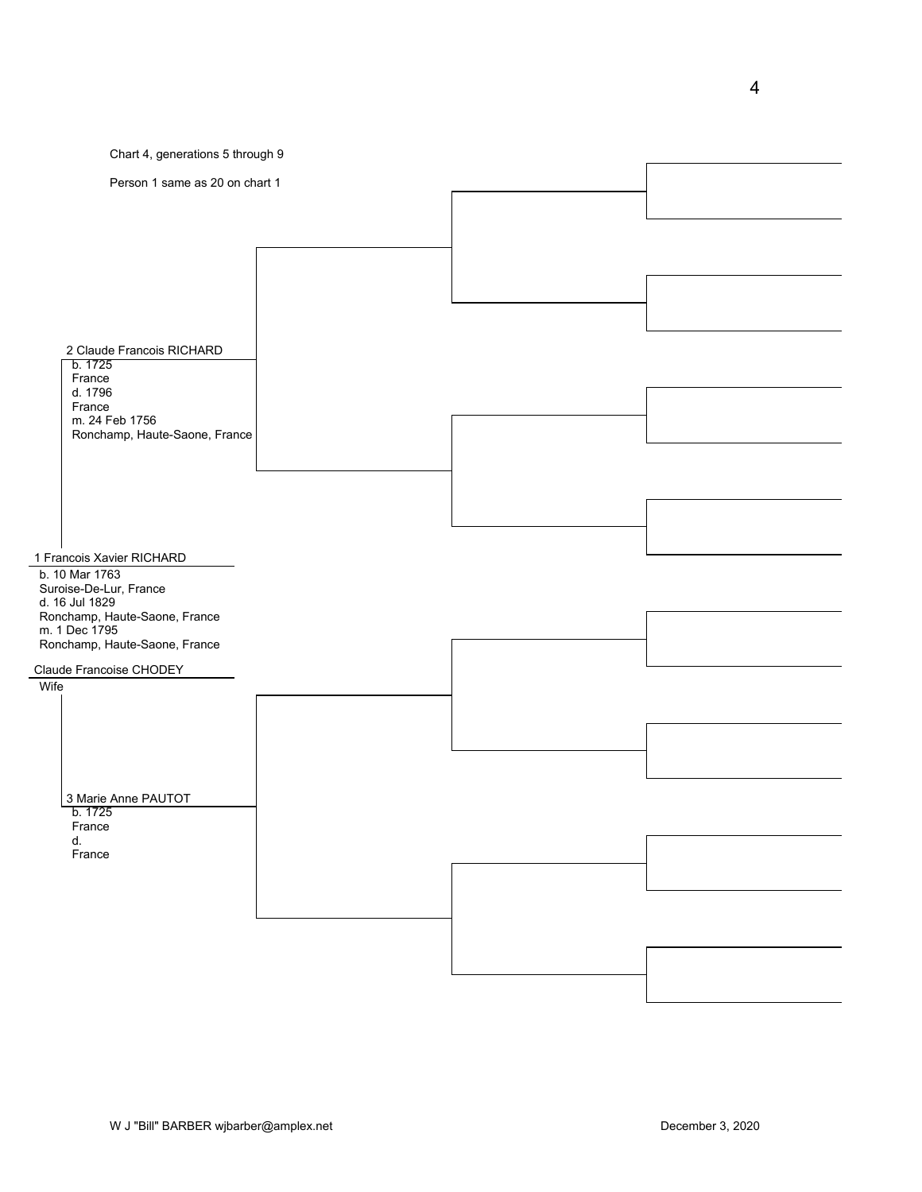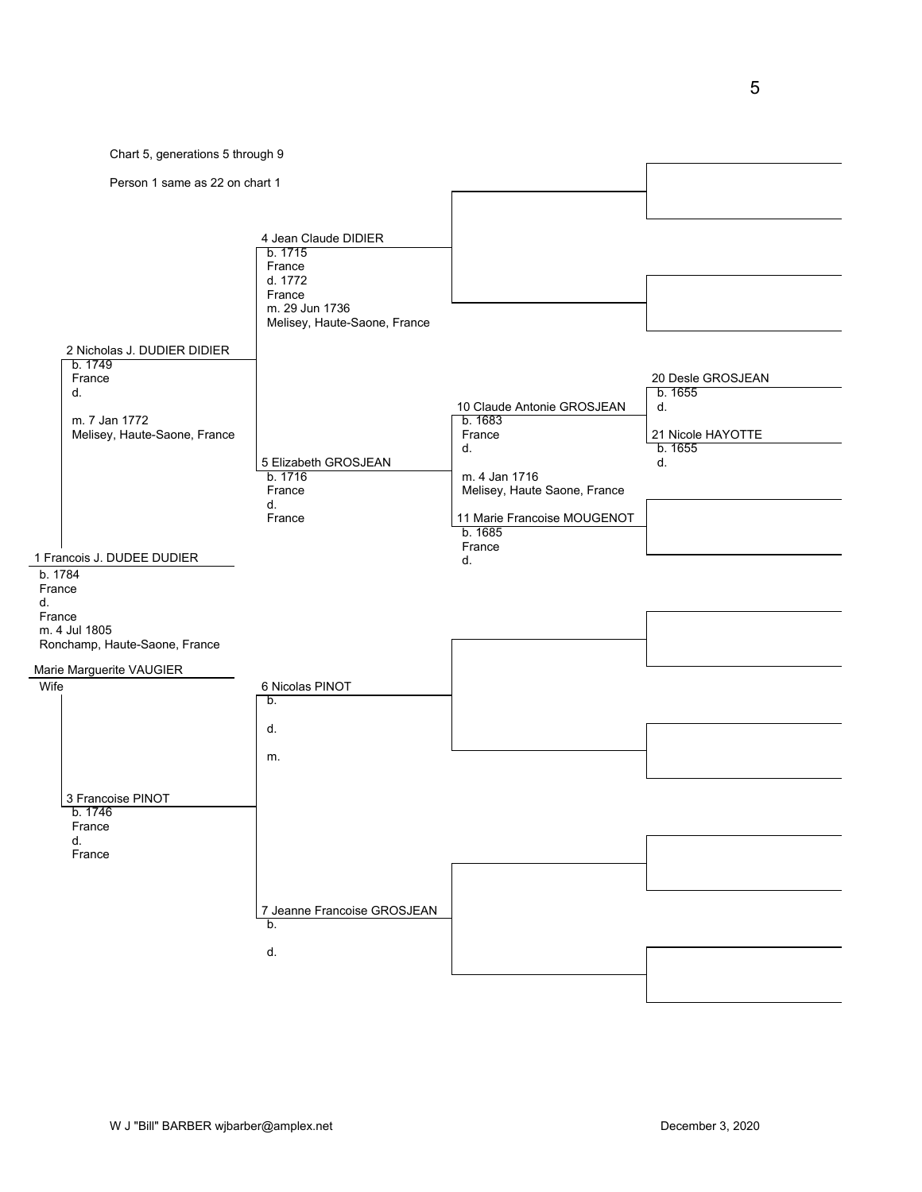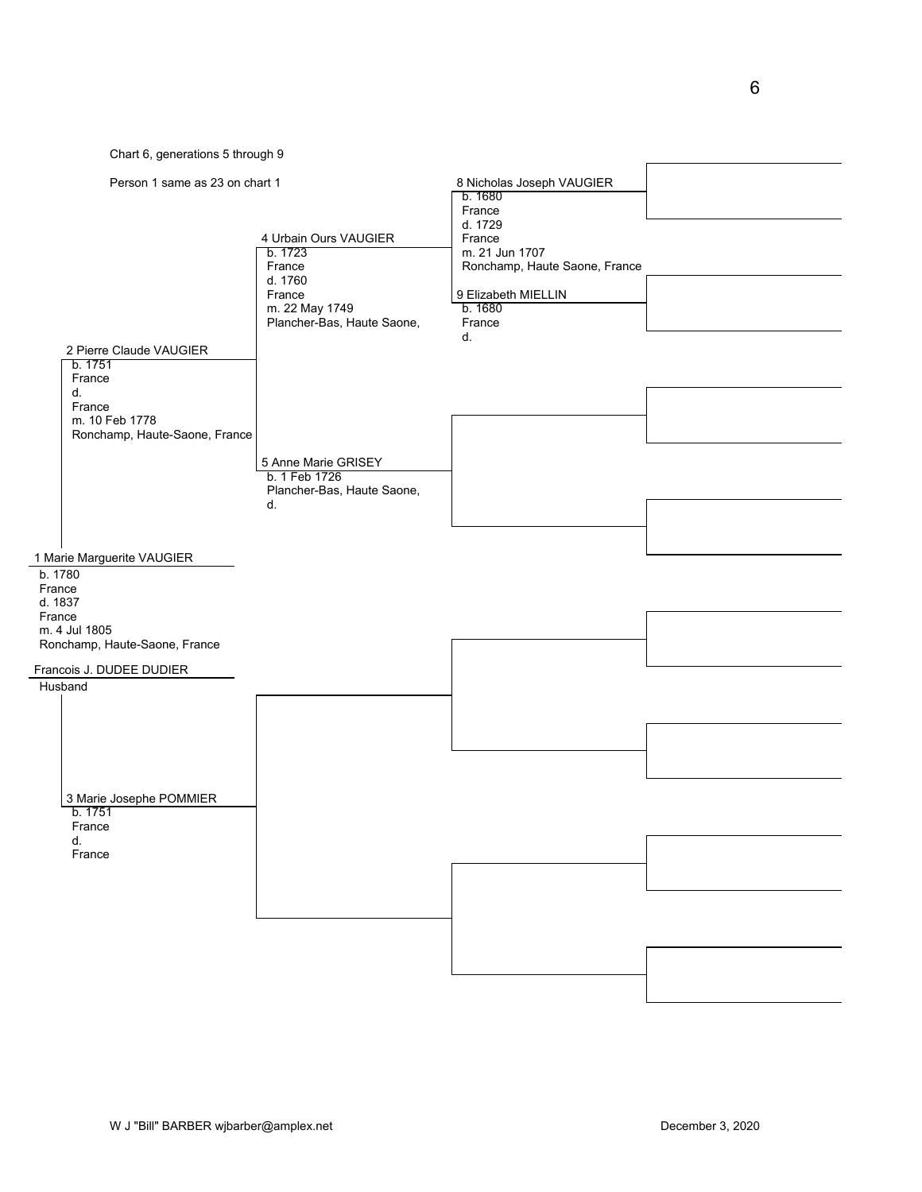Chart 6, generations 5 through 9

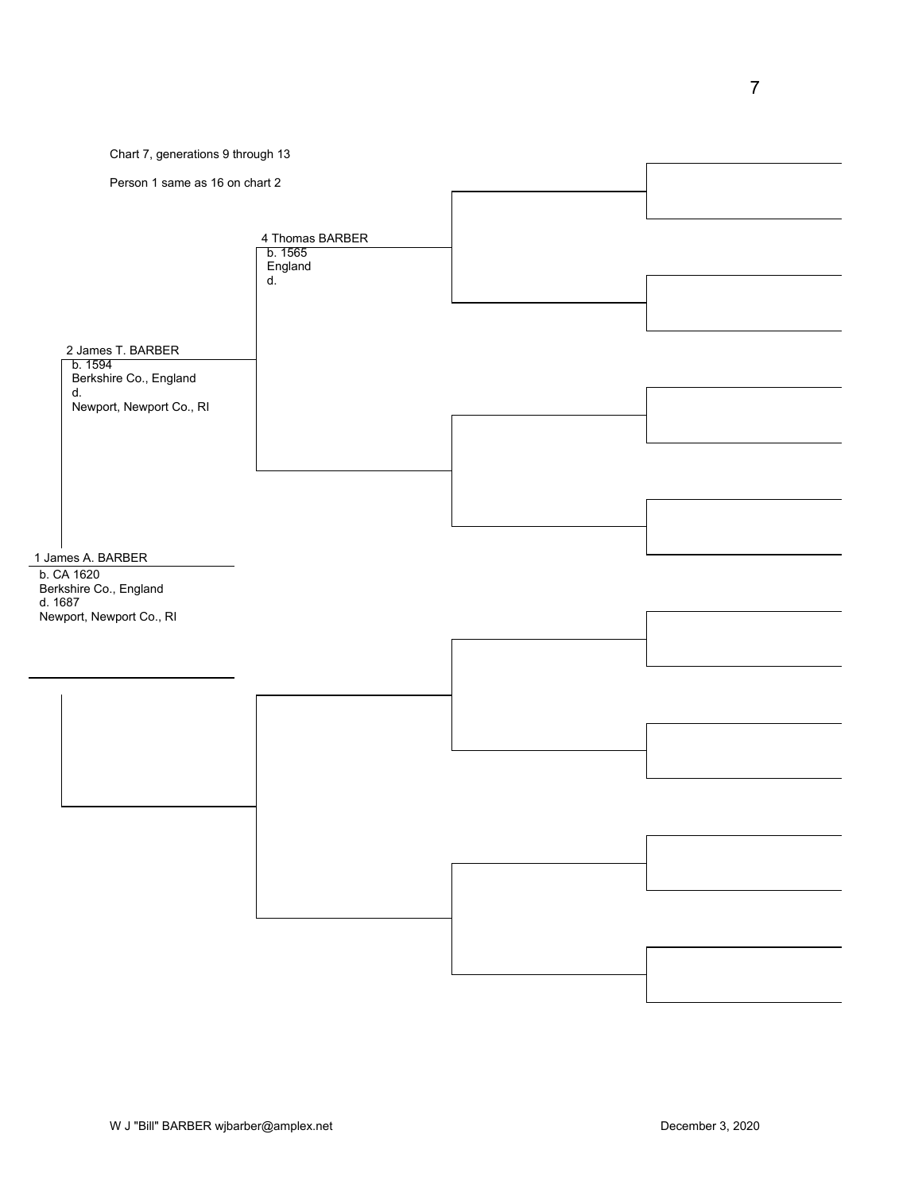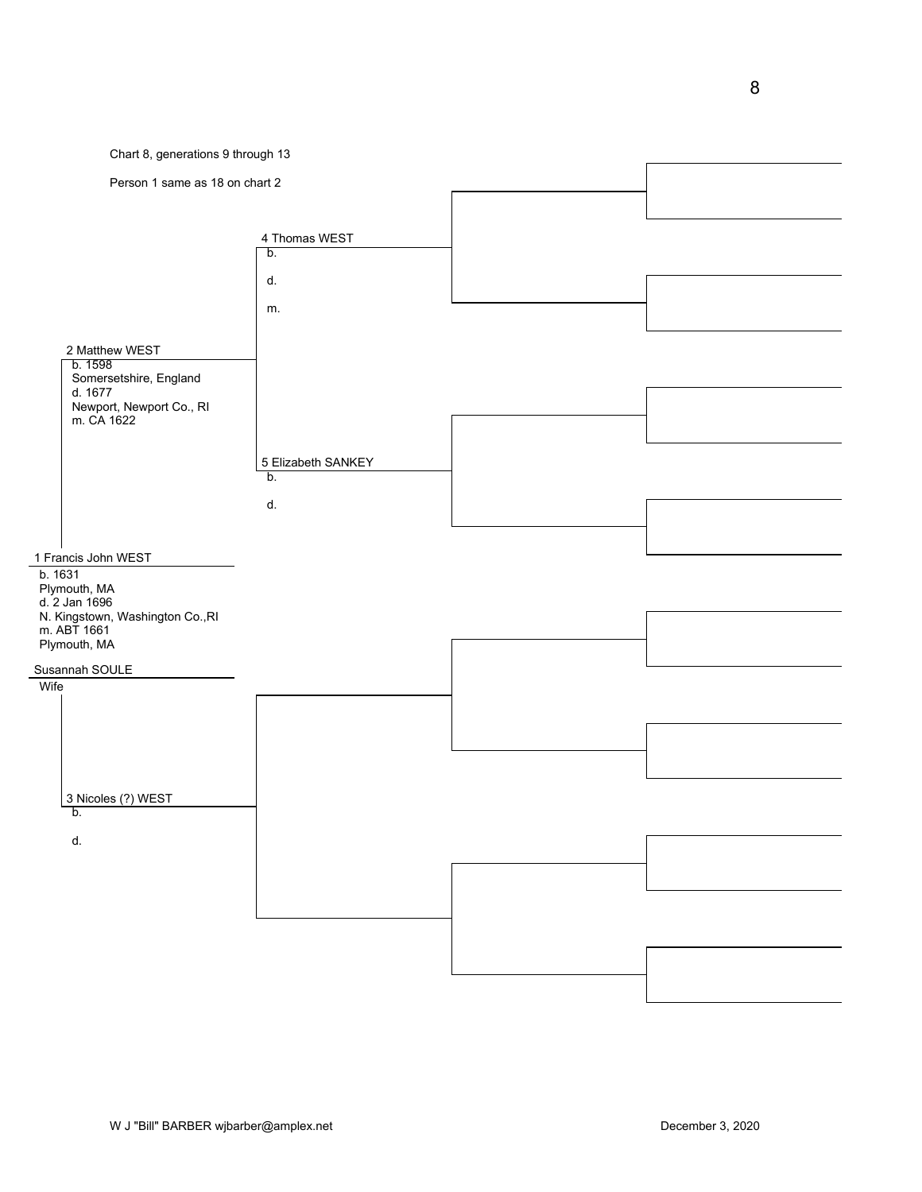

W J "Bill" BARBER wjbarber@amplex.net December 3, 2020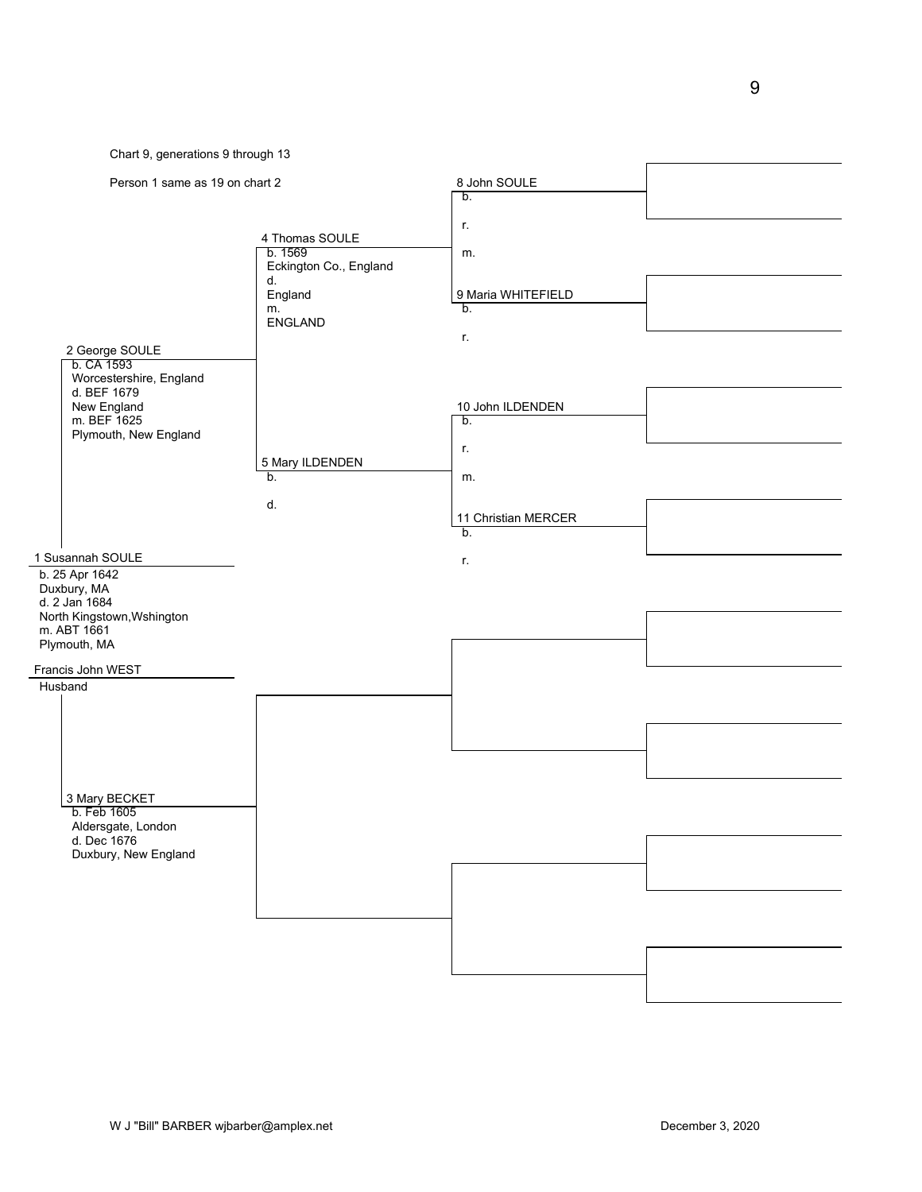Chart 9, generations 9 through 13

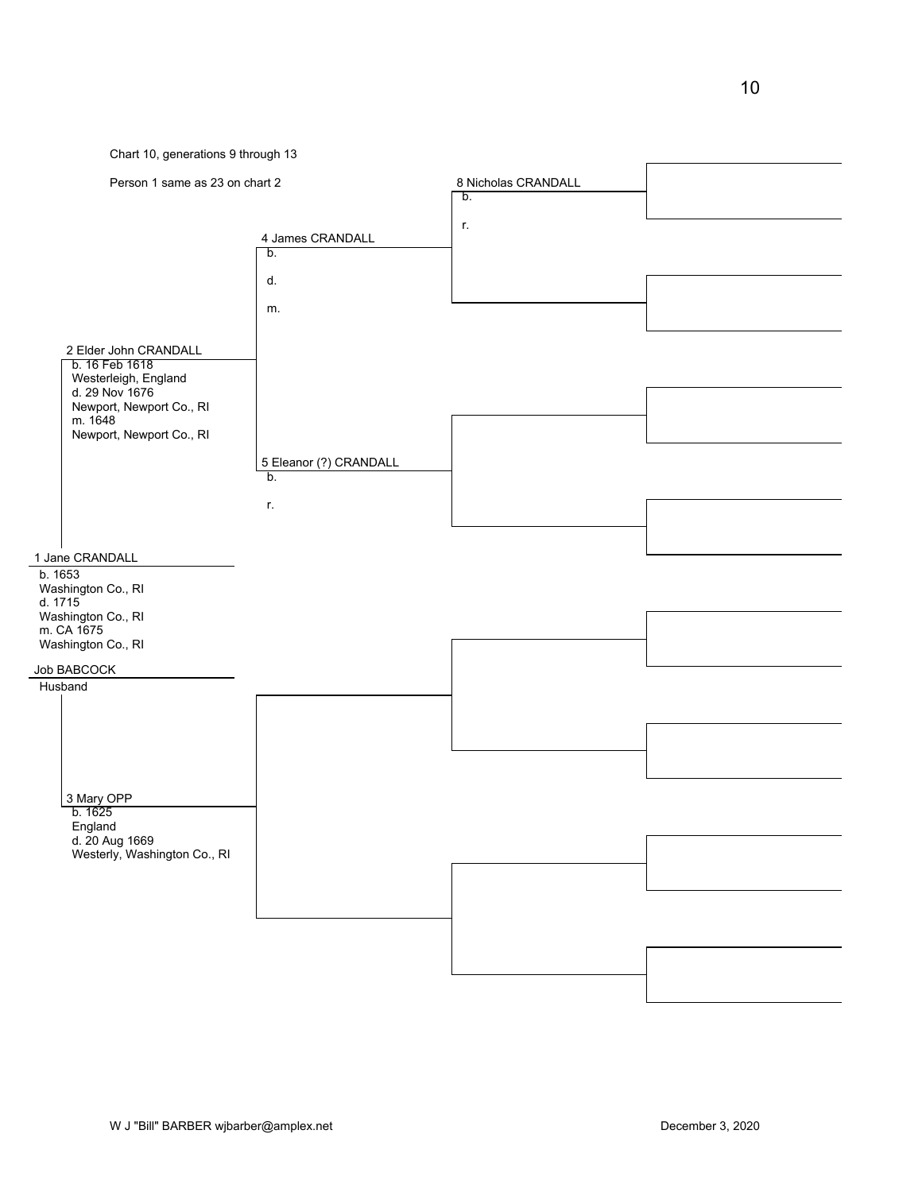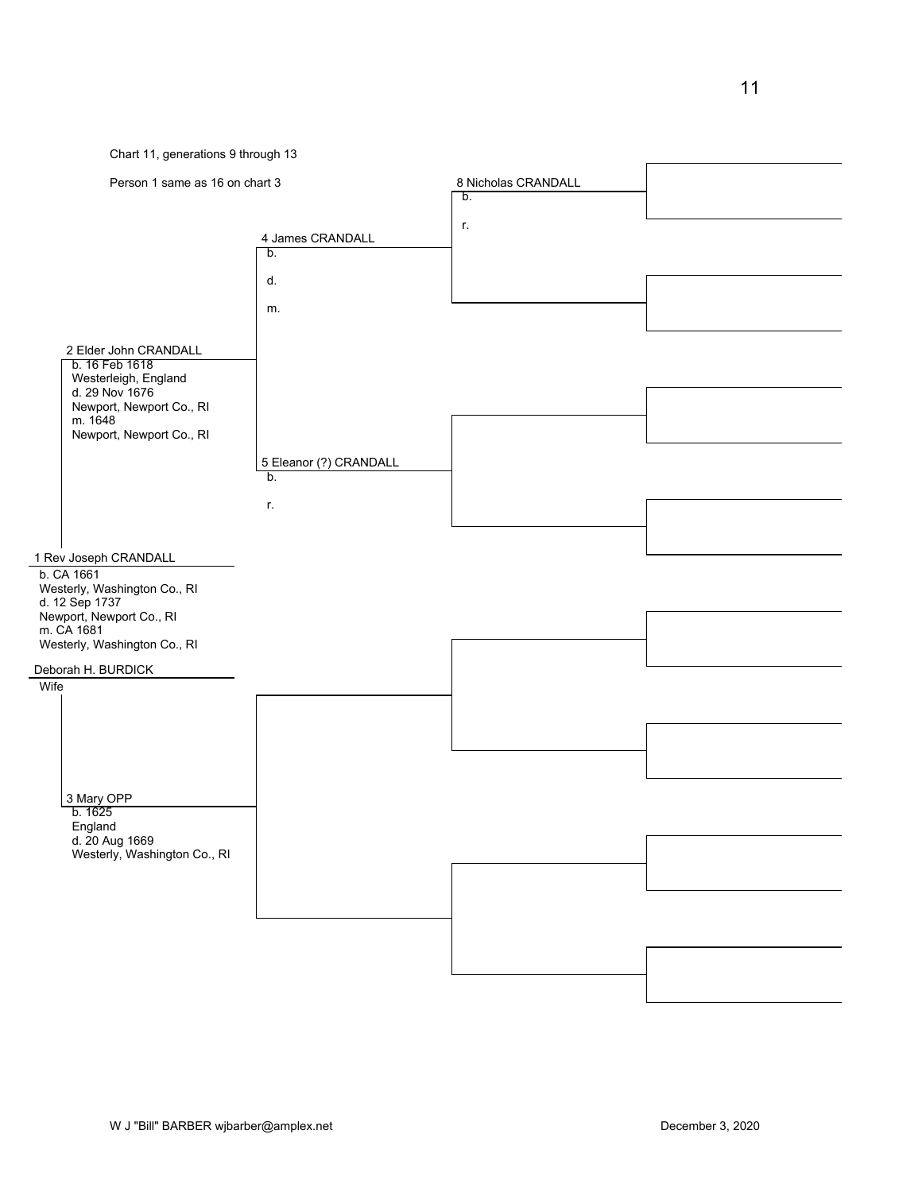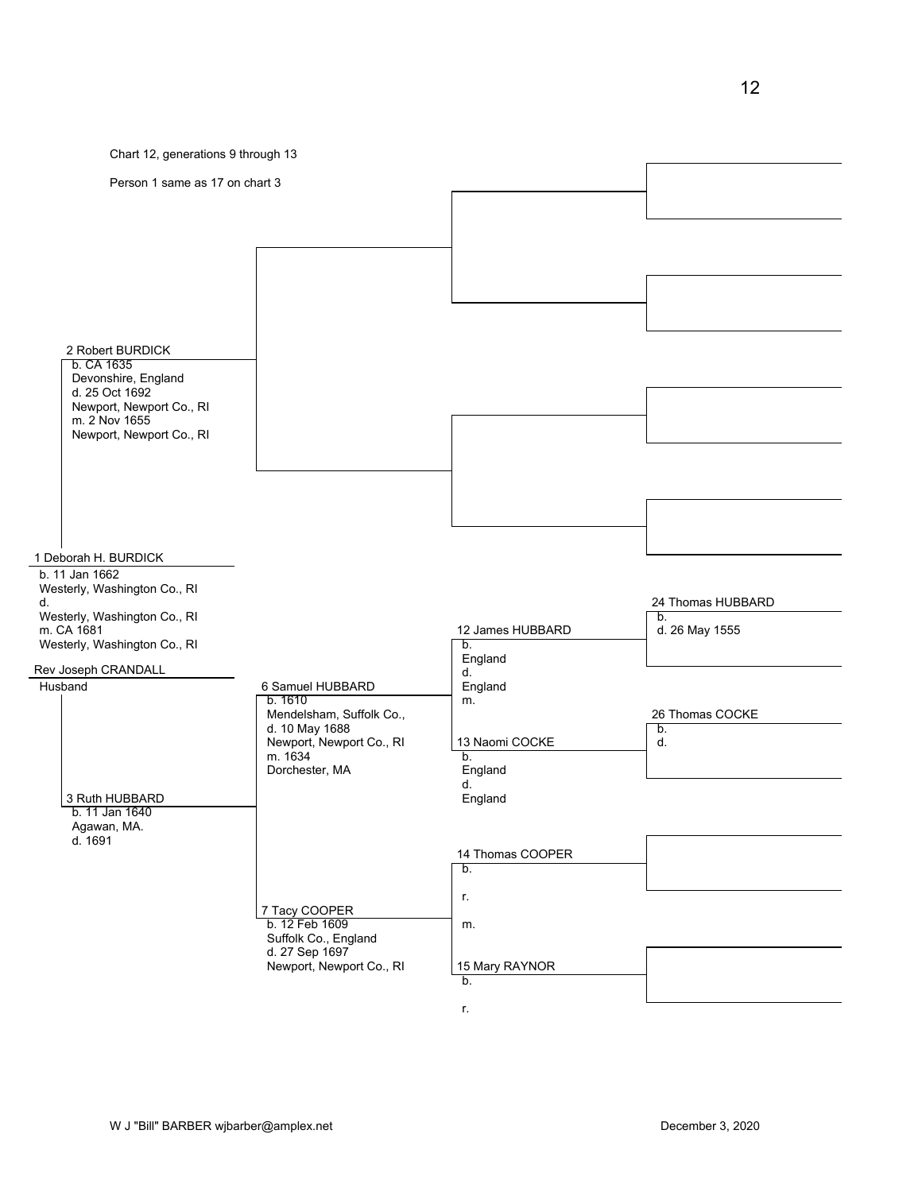

r.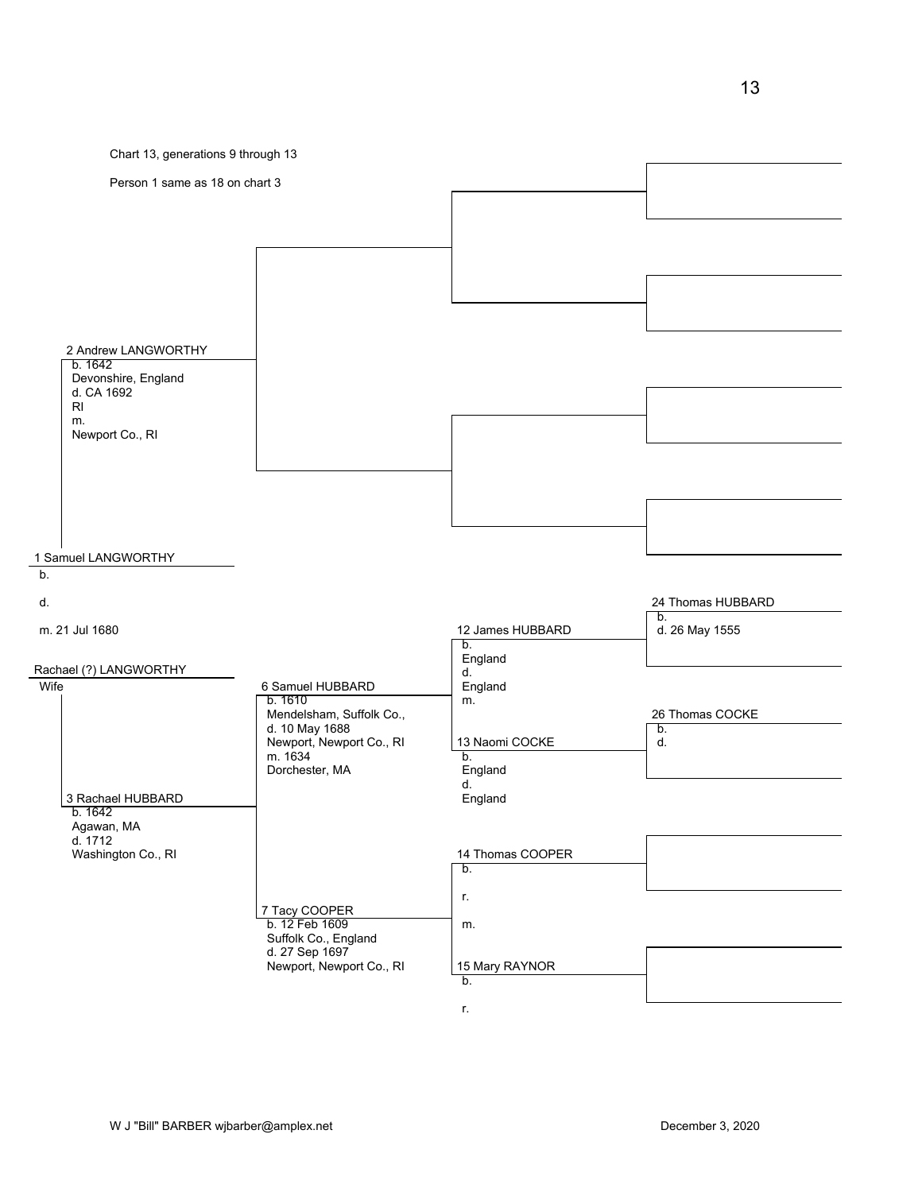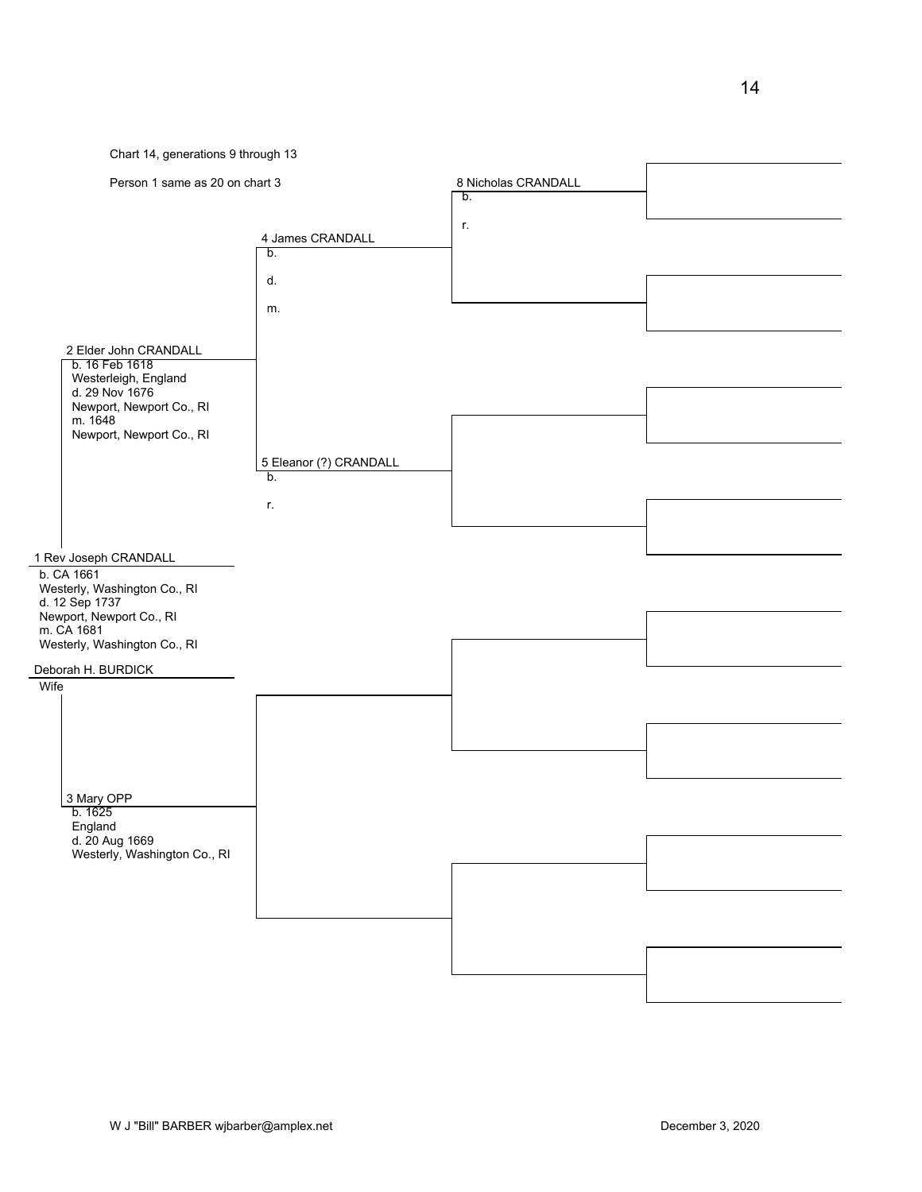